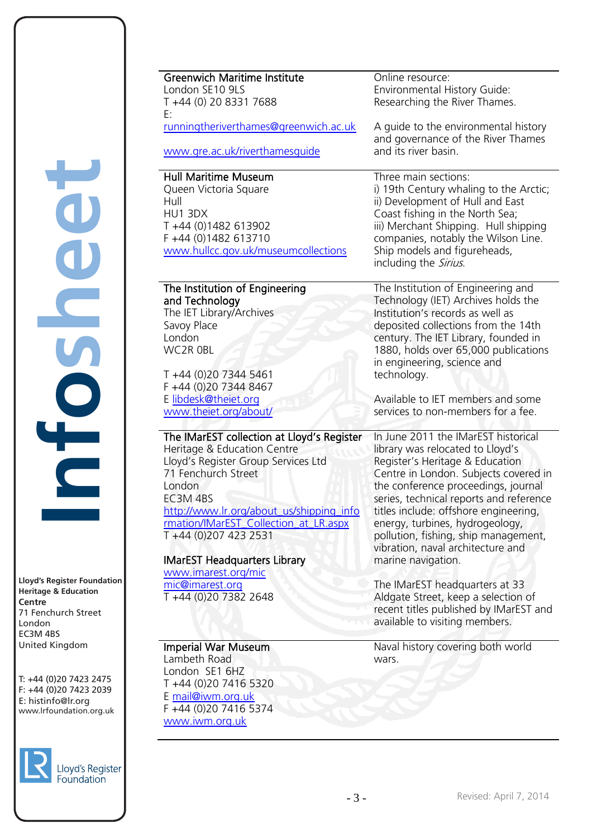**Lloyd's Register Foundation Heritage & Education<br>Centre Centre** 71 Fenchurch Street London EC3M 4BS Less...<br>United Kingdom united Kingdom Maria Register Foundat<br>
Maria Register Foundat<br>
Titage & Education<br>
SM 4BS<br>
The Sited Kingdom<br>
144 (0)20 7423 2475<br>
nfo@lr.org<br>
nfo@lr.org

**Infosheet**

ITOSN

 $T: +44 (0)20 7423 2475$  $F: +44(0)2074232039$ E: info@lr.org www.lrfoundation.org.uk  $n \in \mathbb{Z}$ 



| <b>Greenwich Maritime Institute</b><br>London SE10 9LS<br>T +44 (0) 20 8331 7688<br>E:<br>runningtheriverthames@greenwich.ac.uk<br>www.gre.ac.uk/riverthamesquide                                                                                                                                                                                                                    | Online resource:<br>Environmental History Guide:<br>Researching the River Thames.<br>A guide to the environmental history<br>and governance of the River Thames<br>and its river basin.                                                                                                                                                                                                                                                                                                                                                                                   |
|--------------------------------------------------------------------------------------------------------------------------------------------------------------------------------------------------------------------------------------------------------------------------------------------------------------------------------------------------------------------------------------|---------------------------------------------------------------------------------------------------------------------------------------------------------------------------------------------------------------------------------------------------------------------------------------------------------------------------------------------------------------------------------------------------------------------------------------------------------------------------------------------------------------------------------------------------------------------------|
| <b>Hull Maritime Museum</b><br>Queen Victoria Square<br>Hull<br>HU1 3DX<br>T+44 (0)1482 613902<br>F +44 (0)1482 613710<br>www.hullcc.gov.uk/museumcollections                                                                                                                                                                                                                        | Three main sections:<br>i) 19th Century whaling to the Arctic;<br>ii) Development of Hull and East<br>Coast fishing in the North Sea;<br>iii) Merchant Shipping. Hull shipping<br>companies, notably the Wilson Line.<br>Ship models and figureheads,<br>including the Sirius.                                                                                                                                                                                                                                                                                            |
| The Institution of Engineering<br>and Technology<br>The IET Library/Archives<br>Savoy Place<br>London<br>WC2R OBL<br>T +44 (0)20 7344 5461<br>F +44 (0)20 7344 8467<br>E libdesk@theiet.org<br>www.theiet.org/about/                                                                                                                                                                 | The Institution of Engineering and<br>Technology (IET) Archives holds the<br>Institution's records as well as<br>deposited collections from the 14th<br>century. The IET Library, founded in<br>1880, holds over 65,000 publications<br>in engineering, science and<br>technology.<br>Available to IET members and some<br>services to non-members for a fee.                                                                                                                                                                                                             |
| The IMarEST collection at Lloyd's Register<br>Heritage & Education Centre<br>Lloyd's Register Group Services Ltd<br>71 Fenchurch Street<br>London<br>EC3M4BS<br>http://www.lr.org/about_us/shipping_info<br>rmation/IMarEST_Collection_at_LR.aspx<br>T +44 (0)207 423 2531<br><b>IMarEST Headquarters Library</b><br>www.imarest.org/mic<br>mic@imarest.org<br>T +44 (0)20 7382 2648 | In June 2011 the IMarEST historical<br>library was relocated to Lloyd's<br>Register's Heritage & Education<br>Centre in London. Subjects covered in<br>the conference proceedings, journal<br>series, technical reports and reference<br>titles include: offshore engineering,<br>energy, turbines, hydrogeology,<br>pollution, fishing, ship management,<br>vibration, naval architecture and<br>marine navigation.<br>The IMarEST headquarters at 33<br>Aldgate Street, keep a selection of<br>recent titles published by IMarEST and<br>available to visiting members. |
| Imperial War Museum<br>Lambeth Road<br>London SE1 6HZ<br>T +44 (0)20 7416 5320<br>E mail@iwm.org.uk<br>F +44 (0)20 7416 5374<br>www.iwm.org.uk                                                                                                                                                                                                                                       | Naval history covering both world<br>wars.                                                                                                                                                                                                                                                                                                                                                                                                                                                                                                                                |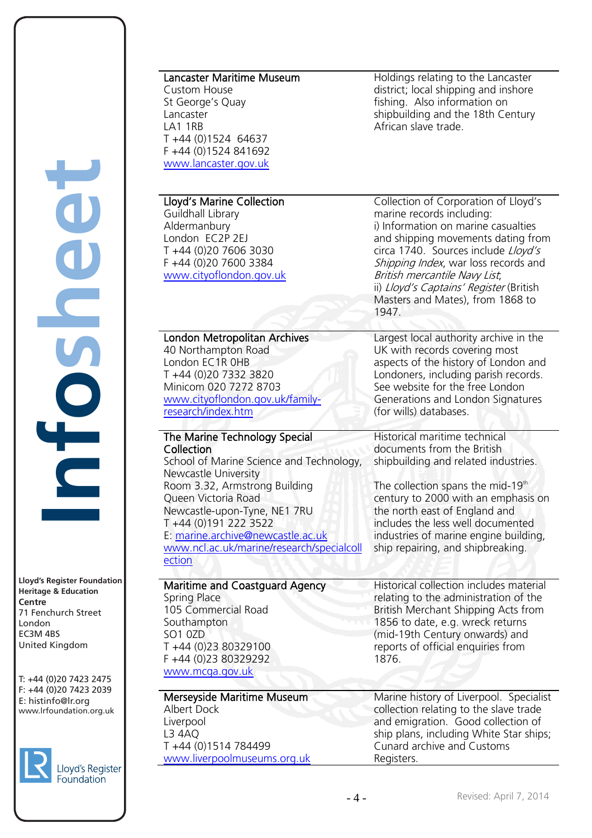**Heritage & Education Centre** 71 Fenchurch Street London EC3M 4BS - C3. . . . . . .<br>United Kingdom sa kingaom

T: +44 (0)20 7423 2475 F: +44 (0)20 7423 2039 Fax: +44 (0)20 7423 2039 E: info@lr.org www.lrfoundation.org.uk



## Lancaster Maritime Museum

Custom House St George's Quay Lancaster LA1 1RB T +44 (0)1524 64637 F +44 (0)1524 841692 [www.lancaster.gov.uk](http://www.lancaster.gov.uk/)

#### Lloyd's Marine Collection

Guildhall Library Aldermanbury London EC2P 2EJ T +44 (0)20 7606 3030 F +44 (0)20 7600 3384 [www.cityoflondon.gov.uk](http://www.cityoflondon.gov.uk/)

London Metropolitan Archives

[www.cityoflondon.gov.uk/family-](http://www.cityoflondon.gov.uk/family-research/index.htm)

The Marine Technology Special

Room 3.32, Armstrong Building

Newcastle-upon-Tyne, NE1 7RU

E: [marine.archive@newcastle.ac.uk](mailto:marine.archive@newcastle.ac.uk) 

Maritime and Coastguard Agency

School of Marine Science and Technology,

[www.ncl.ac.uk/marine/research/specialcoll](http://www.ncl.ac.uk/marine/research/specialcollection)

40 Northampton Road London EC1R 0HB T +44 (0)20 7332 3820 Minicom 020 7272 8703

[research/index.htm](http://www.cityoflondon.gov.uk/family-research/index.htm)

Newcastle University

Queen Victoria Road

T +44 (0)191 222 3522

105 Commercial Road

T +44 (0)23 80329100 F +44 (0)23 80329292 [www.mcga.gov.uk](http://www.mcga.gov.uk/)

T +44 (0)1514 784499

Merseyside Maritime Museum

[www.liverpoolmuseums.org.uk](http://www.liverpoolmuseums.org.uk/)

Collection

[ection](http://www.ncl.ac.uk/marine/research/specialcollection) 

Spring Place

**Southampton** SO1 0ZD

Albert Dock Liverpool L3 4AQ

#### Holdings relating to the Lancaster district; local shipping and inshore fishing. Also information on shipbuilding and the 18th Century African slave trade.

Collection of Corporation of Lloyd's marine records including: i) Information on marine casualties and shipping movements dating from circa 1740. Sources include Lloyd's Shipping Index, war loss records and British mercantile Navy List; ii) Lloyd's Captains' Register (British Masters and Mates), from 1868 to 1947.

Largest local authority archive in the UK with records covering most aspects of the history of London and Londoners, including parish records. See website for the free London Generations and London Signatures (for wills) databases.

Historical maritime technical documents from the British shipbuilding and related industries.

The collection spans the mid-19<sup>th</sup> century to 2000 with an emphasis on the north east of England and includes the less well documented industries of marine engine building, ship repairing, and shipbreaking.

Historical collection includes material relating to the administration of the British Merchant Shipping Acts from 1856 to date, e.g. wreck returns (mid-19th Century onwards) and reports of official enquiries from 1876.

Marine history of Liverpool. Specialist collection relating to the slave trade and emigration. Good collection of ship plans, including White Star ships; Cunard archive and Customs Registers.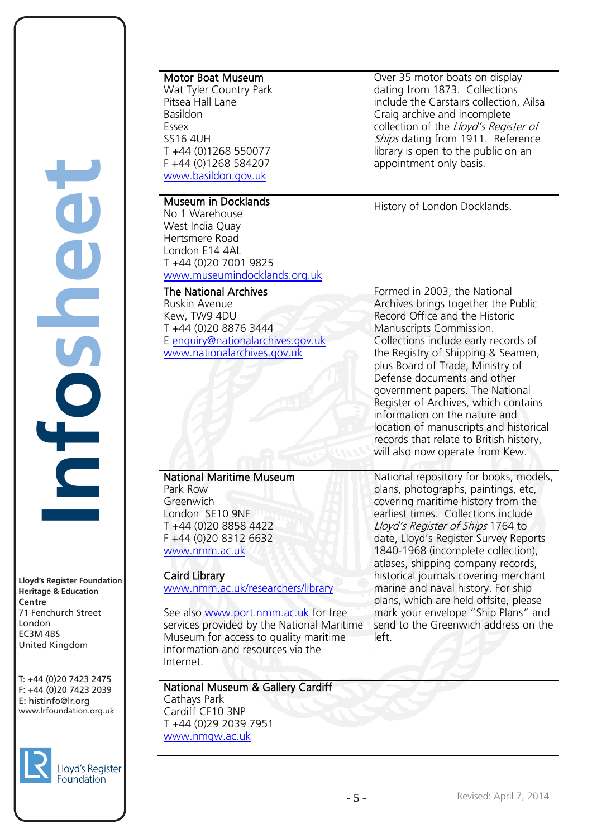**Lloyd's Register Foundation Heritage & Education Centre** 71 Fenchurch Street London EC3M 4BS - C3. . . . . . .<br>United Kingdom Lloyd's Register sa kingaom yd's Register Foundat<br>titage & Education<br>titage & Education<br>BM 4BS<br>Fenchurch Street<br>1don<br>44 (0)20 7423 247:<br>144 (0)20 7423 203:<br>nfo@lr.org

**Infosheet**

 $\begin{matrix} \phantom{-} \\ \phantom{-} \end{matrix}$ 

T: +44 (0)20 7423 2475 F: +44 (0)20 7423 2039 Fax: +44 (0)20 7423 2039 E: info@lr.org www.lrfoundation.org.uk



Motor Boat Museum

Wat Tyler Country Park Pitsea Hall Lane Basildon Essex SS16 4UH T +44 (0)1268 550077 F +44 (0)1268 584207 [www.basildon.gov.uk](http://www.basildon.gov.uk/)

# Museum in Docklands

No 1 Warehouse West India Quay Hertsmere Road London E14 4AL T +44 (0)20 7001 9825 [www.museumindocklands.org.uk](http://www.museumindocklands.org.uk/)

#### The National Archives

Ruskin Avenue Kew, TW9 4DU T +44 (0)20 8876 3444 E [enquiry@nationalarchives.gov.uk](mailto:enquiry@nationalarchives.gov.uk) [www.nationalarchives.gov.uk](http://www.nationalarchives.gov.uk/)

Over 35 motor boats on display dating from 1873. Collections include the Carstairs collection, Ailsa Craig archive and incomplete collection of the Lloyd's Register of Ships dating from 1911. Reference library is open to the public on an appointment only basis.

History of London Docklands.

Formed in 2003, the National Archives brings together the Public Record Office and the Historic Manuscripts Commission. Collections include early records of the Registry of Shipping & Seamen, plus Board of Trade, Ministry of Defense documents and other government papers. The National Register of Archives, which contains information on the nature and location of manuscripts and historical records that relate to British history, will also now operate from Kew.

# National Maritime Museum

Park Row Greenwich London SE10 9NF T +44 (0)20 8858 4422 F +44 (0)20 8312 6632 [www.nmm.ac.uk](http://www.nmm.ac.uk/)

### Caird Library

www.nmm.ac.uk/researchers/library

See also [www.port.nmm.ac.uk](http://www.port.nmm.ac.uk/) for free services provided by the National Maritime Museum for access to quality maritime information and resources via the Internet.

National Museum & Gallery Cardiff Cathays Park Cardiff CF10 3NP T +44 (0)29 2039 7951 [www.nmgw.ac.uk](http://www.nmgw.ac.uk/)

National repository for books, models, plans, photographs, paintings, etc, covering maritime history from the earliest times. Collections include Lloyd's Register of Ships 1764 to date, Lloyd's Register Survey Reports 1840-1968 (incomplete collection), atlases, shipping company records, historical journals covering merchant marine and naval history. For ship plans, which are held offsite, please mark your envelope "Ship Plans" and send to the Greenwich address on the left.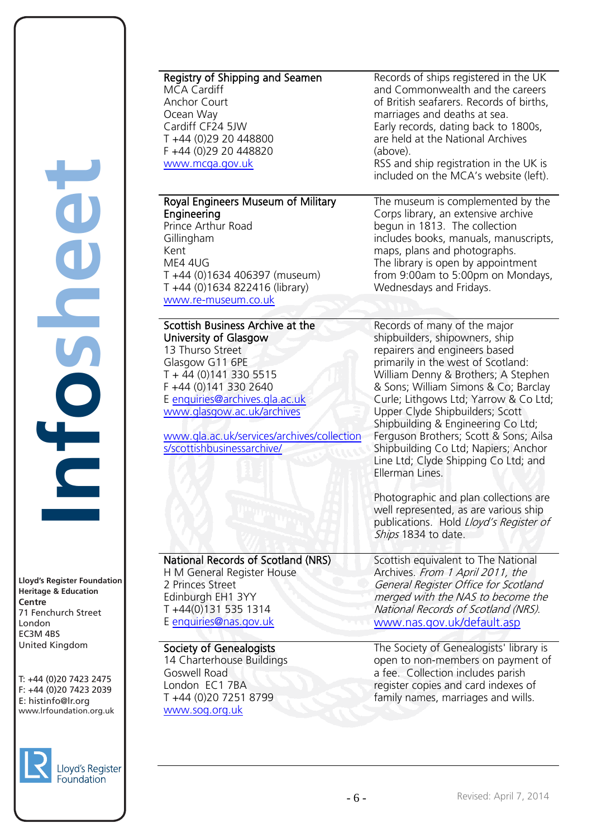**Lloyd's Register Foundation Heritage & Education<br>Centre Centre** 71 Fenchurch Street London EC3M 4BS - C3. . . . . . .<br>United Kingdom sa kingaom yd's Register Foundat<br>titage & Education<br>titage & Education<br>BM 4BS<br>Fenchurch Street<br>1don<br>44 (0)20 7423 247:<br>144 (0)20 7423 203:<br>nfo@lr.org

**Infosheet**

COSC

Job

T: +44 (0)20 7423 2475 F: +44 (0)20 7423 2039 Fax: +44 (0)20 7423 2039 E: info@lr.org www.lrfoundation.org.uk



| Registry of Shipping and Seamen            | Records of ships registered in the UK    |
|--------------------------------------------|------------------------------------------|
| <b>MCA Cardiff</b>                         | and Commonwealth and the careers         |
| Anchor Court                               | of British seafarers. Records of births, |
| Ocean Way                                  | marriages and deaths at sea.             |
| Cardiff CF24 5JW                           | Early records, dating back to 1800s,     |
| T +44 (0)29 20 448800                      | are held at the National Archives        |
| F +44 (0)29 20 448820                      | (above).                                 |
| www.mcga.gov.uk                            | RSS and ship registration in the UK is   |
|                                            | included on the MCA's website (left).    |
|                                            |                                          |
| Royal Engineers Museum of Military         | The museum is complemented by the        |
| Engineering                                | Corps library, an extensive archive      |
| Prince Arthur Road                         | begun in 1813. The collection            |
| Gillingham                                 | includes books, manuals, manuscripts,    |
| Kent                                       | maps, plans and photographs.             |
| ME4 4UG                                    |                                          |
|                                            | The library is open by appointment       |
| T +44 (0)1634 406397 (museum)              | from 9:00am to 5:00pm on Mondays,        |
| T +44 (0)1634 822416 (library)             | Wednesdays and Fridays.                  |
| www.re-museum.co.uk                        |                                          |
|                                            |                                          |
| Scottish Business Archive at the           | Records of many of the major             |
| University of Glasgow                      | shipbuilders, shipowners, ship           |
| 13 Thurso Street                           | repairers and engineers based            |
| Glasgow G11 6PE                            | primarily in the west of Scotland:       |
| $T + 44(0)1413305515$                      | William Denny & Brothers; A Stephen      |
| F +44 (0)141 330 2640                      | & Sons; William Simons & Co; Barclay     |
| E enquiries@archives.gla.ac.uk             | Curle; Lithgows Ltd; Yarrow & Co Ltd;    |
| www.glasgow.ac.uk/archives                 | Upper Clyde Shipbuilders; Scott          |
|                                            | Shipbuilding & Engineering Co Ltd;       |
| www.gla.ac.uk/services/archives/collection | Ferguson Brothers; Scott & Sons; Ailsa   |
| s/scottishbusinessarchive/                 | Shipbuilding Co Ltd; Napiers; Anchor     |
|                                            |                                          |
|                                            | Line Ltd; Clyde Shipping Co Ltd; and     |
|                                            | Ellerman Lines.                          |
|                                            |                                          |
|                                            | Photographic and plan collections are    |
|                                            | well represented, as are various ship    |
|                                            | publications. Hold Lloyd's Register of   |
|                                            | Ships 1834 to date.                      |
|                                            |                                          |
| National Records of Scotland (NRS)         | Scottish equivalent to The National      |
| H M General Register House                 | Archives. From 1 April 2011, the         |
| 2 Princes Street                           | General Register Office for Scotland     |
| Edinburgh EH1 3YY                          | merged with the NAS to become the        |
| T+44(0)131 535 1314                        | National Records of Scotland (NRS).      |
| E enquiries@nas.gov.uk                     | www.nas.gov.uk/default.asp               |
|                                            |                                          |
| Society of Genealogists                    | The Society of Genealogists' library is  |
| 14 Charterhouse Buildings                  | open to non-members on payment of        |
| Goswell Road                               | a fee. Collection includes parish        |
| London EC1 7BA                             |                                          |
|                                            | register copies and card indexes of      |
| T +44 (0)20 7251 8799                      | family names, marriages and wills.       |
| www.sog.org.uk                             |                                          |
|                                            |                                          |